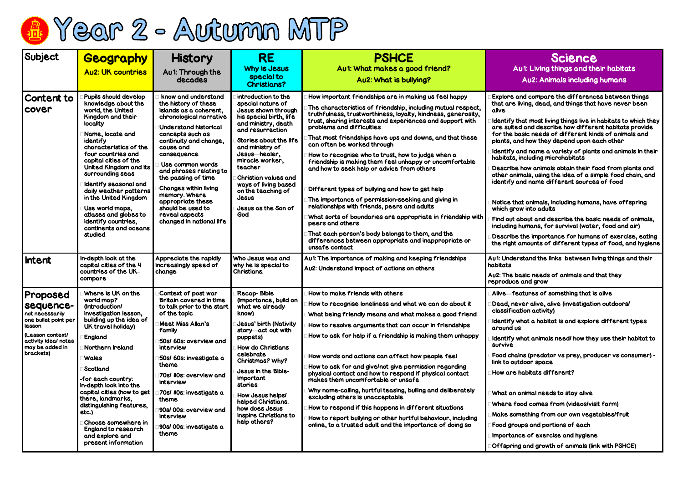## **Science** u1: Living things and their habitats Au2: Animals including humans

and compare the differences between things living, dead, and things that have never been

that most living things live in habitats to which they d and describe how different habitats provide pasic needs of different kinds of animals and nd how they depend upon each other

and name a variety of plants and animals in their including microhabitats

how animals obtain their food from plants and imals, using the idea of a simple food chain, and and name different sources of food

nat animals, including humans, have offspring ow into adults

about and describe the basic needs of animals, humans, for survival (water, food and air)

the importance for humans of exercise, eating amounts of different types of food, and hygiene

rstand the links between living things and their

asic needs of animals and that they  $\epsilon$  and grow

atures of something that is alive

ver alive, alive (investigation outdoors/ ation activity)

what a habitat is and explore different types around us

what animals need/ how they use their habitat to

ains (predator vs prey, producer vs consumer) tdoor space

habitats different?

animal needs to stay alive

ood comes from (videos/visit farm)

mething from our own vegetables/fruit

ups and portions of each

Ice of exercise and hygiene

ig and growth of animals (link with PSHCE)



| Subject                                                                                                                                                | <b>Geography</b>                                                                                                                                                                                                                                                                                                                                                                                                                                           | <b>History</b>                                                                                                                                                                                                                                                                                                                                                                                                            | <b>RE</b>                                                                                                                                                                                                                                                                                                                                                         | <b>PSHCE</b>                                                                                                                                                                                                                                                                                                                                                                                                                                                                                                                                                                                                                                                                                                                                                                                                                                                                                                         |                                                                                                                                                                                                                                                      |  |
|--------------------------------------------------------------------------------------------------------------------------------------------------------|------------------------------------------------------------------------------------------------------------------------------------------------------------------------------------------------------------------------------------------------------------------------------------------------------------------------------------------------------------------------------------------------------------------------------------------------------------|---------------------------------------------------------------------------------------------------------------------------------------------------------------------------------------------------------------------------------------------------------------------------------------------------------------------------------------------------------------------------------------------------------------------------|-------------------------------------------------------------------------------------------------------------------------------------------------------------------------------------------------------------------------------------------------------------------------------------------------------------------------------------------------------------------|----------------------------------------------------------------------------------------------------------------------------------------------------------------------------------------------------------------------------------------------------------------------------------------------------------------------------------------------------------------------------------------------------------------------------------------------------------------------------------------------------------------------------------------------------------------------------------------------------------------------------------------------------------------------------------------------------------------------------------------------------------------------------------------------------------------------------------------------------------------------------------------------------------------------|------------------------------------------------------------------------------------------------------------------------------------------------------------------------------------------------------------------------------------------------------|--|
|                                                                                                                                                        | <b>Au2: UK countries</b>                                                                                                                                                                                                                                                                                                                                                                                                                                   | Au1: Through the<br>decades                                                                                                                                                                                                                                                                                                                                                                                               | Why is Jesus<br>special to<br><b>Christians?</b>                                                                                                                                                                                                                                                                                                                  | Au1: What makes a good friend?                                                                                                                                                                                                                                                                                                                                                                                                                                                                                                                                                                                                                                                                                                                                                                                                                                                                                       |                                                                                                                                                                                                                                                      |  |
|                                                                                                                                                        |                                                                                                                                                                                                                                                                                                                                                                                                                                                            |                                                                                                                                                                                                                                                                                                                                                                                                                           |                                                                                                                                                                                                                                                                                                                                                                   | Au2: What is bullying?                                                                                                                                                                                                                                                                                                                                                                                                                                                                                                                                                                                                                                                                                                                                                                                                                                                                                               |                                                                                                                                                                                                                                                      |  |
| <b>Content to</b><br>cover                                                                                                                             | <b>Pupils should develop</b><br>knowledge about the<br>world, the United<br>Kingdom and their<br><b>locality</b><br>Name, locate and<br>identify<br>characteristics of the<br>four countries and<br>capital cities of the<br>United Kingdom and its<br>surrounding seas<br>Identify seasonal and<br>daily weather patterns<br>in the United Kingdom<br>Use world maps,<br>atlases and globes to<br>identify countries,<br>continents and oceans<br>studied | know and understand<br>the history of these<br>islands as a coherent,<br>chronological narrative<br><b>Understand historical</b><br>concepts such as<br>continuity and change,<br>cause and<br>consequence<br>Use common words<br>and phrases relating to<br>the passing of time<br><b>Changes within living</b><br>memory. Where<br>appropriate these<br>should be used to<br>reveal aspects<br>changed in national life | introduction to the<br>special nature of<br>Jesus shown through<br>his special birth, life<br>and ministry, death<br>and resurrection<br>Stories about the life<br>and ministry of<br>Jesus healer,<br>miracle worker,<br>teacher<br>Christian values and<br>ways of living based<br>on the teaching of<br>Jesus<br><b>Jesus as the Son of</b><br>God             | How important friendships are in making us feel happy<br>The characteristics of friendship, including mutual respect,<br>truthfulness, trustworthiness, loyalty, kindness, generosity,<br>trust, sharing interests and experiences and support with<br>problems and difficulties<br>That most friendships have ups and downs, and that these<br>can often be worked through<br>How to recognise who to trust, how to judge when a<br>friendship is making them feel unhappy or uncomfortable<br>and how to seek help or advice from others<br>Different types of bullying and how to get help<br>The importance of permission-seeking and giving in<br>relationships with friends, peers and adults<br>What sorts of boundaries are appropriate in friendship with<br>peers and others<br>That each person's body belongs to them, and the<br>differences between appropriate and inappropriate or<br>unsafe contact | Explore o<br>that are I<br>alive<br>Identify t<br>are suite<br>for the b<br>plants, ar<br>Identify o<br>habitats,<br><b>Describe</b><br>other ani<br>identify o<br>Notice th<br>which gro<br>Find out o<br>including<br><b>Describe</b><br>the right |  |
| Intent                                                                                                                                                 | In-depth look at the<br>capital cities of the 4<br>countries of the UK-<br>compare                                                                                                                                                                                                                                                                                                                                                                         | Appreciate the rapidly<br>increasingly speed of<br>change                                                                                                                                                                                                                                                                                                                                                                 | Who Jesus was and<br>why he is special to<br>Christians.                                                                                                                                                                                                                                                                                                          | Au1: The importance of making and keeping friendships<br>Au2: Understand impact of actions on others                                                                                                                                                                                                                                                                                                                                                                                                                                                                                                                                                                                                                                                                                                                                                                                                                 | Au1: Under<br>habitats<br>Au2: The b<br>reproduce                                                                                                                                                                                                    |  |
| Proposed<br>sequence-<br>not necessarily<br>one bullet point per<br>lesson<br>(Lesson context/<br>activity ideal notes<br>may be added in<br>brackets) | Where is UK on the<br>world map?<br>(Introduction/<br>investigation lesson,<br>building up the idea of<br>UK travel holiday)<br><b>England</b><br>Northern Ireland<br> Wales<br>Scotland<br>-for each country:<br>in-depth look into the<br>capital cities (how to get<br>there, landmarks,<br>distinguishing features,<br>etc.<br> Choose somewhere in<br><b>England to research</b><br>and explore and<br>present information                            | Context of post war<br><b>Britain covered in time</b><br>to talk prior to the start<br>of the topic<br><b>Meet Miss Allan's</b><br>family<br>50s/ 60s: overview and<br>interview<br>50s/ 60s: investigate a<br>theme<br>70s/80s: overview and<br>interview<br>70s/ 80s: investigate a<br>theme<br>90s/00s: overview and<br>interview<br>90s/00s: investigate a<br>theme                                                   | <b>Recap-Bible</b><br>(importance, build on<br>what we already<br>know)<br><b>Jesus' birth (Nativity</b><br>story-act out with<br>puppets)<br><b>How do Christians</b><br>celebrate<br>Christmas? Why?<br><b>Jesus in the Bible-</b><br>important<br>stories<br>How Jesus helps/<br>helped Christians.<br>how does Jesus<br>inspire Christians to<br>help others? | How to make friends with others<br>How to recognise loneliness and what we can do about it<br>What being friendly means and what makes a good friend<br>How to resolve arguments that can occur in friendships<br>How to ask for help if a friendship is making them unhappy<br>How words and actions can affect how people feel<br>How to ask for and give/not give permission regarding<br>physical contact and how to respond if physical contact<br>makes them uncomfortable or unsafe<br>Why name-calling, hurtful teasing, bulling and deliberately<br>excluding others is unacceptable<br>How to respond if this happens in different situations<br>How to report bullying or other hurtful behaviour, including<br>online, to a trusted adult and the importance of doing so                                                                                                                                 | Alive-fe<br>Dead, ne<br>classifica<br>Identify v<br>around u<br><b>Identify v</b><br>survive<br>Food cha<br>link to out<br>How are<br>What an<br>Where fo<br><b>Make sor</b><br>Food gro<br>Importan<br>Offspring                                    |  |